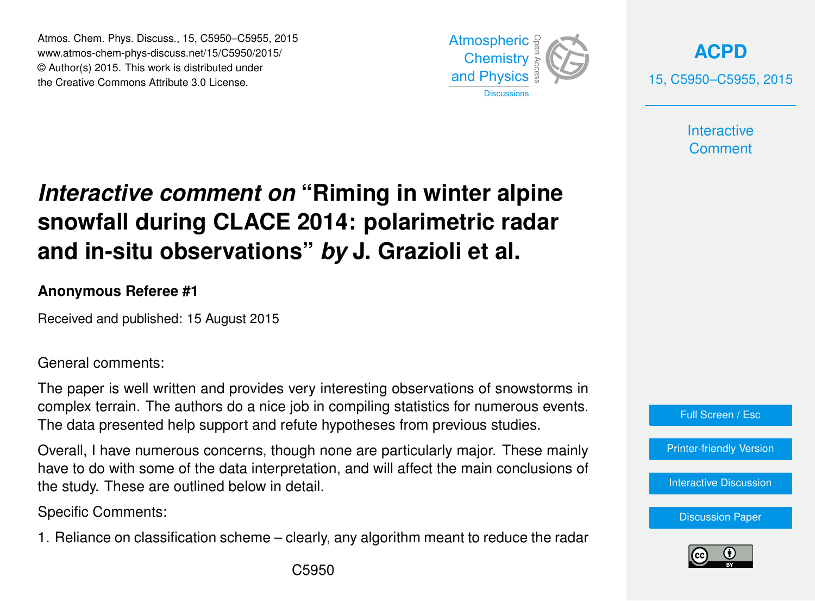Atmos. Chem. Phys. Discuss., 15, C5950–C5955, 2015 www.atmos-chem-phys-discuss.net/15/C5950/2015/ © Author(s) 2015. This work is distributed under the Creative Commons Attribute 3.0 License.



**[ACPD](http://www.atmos-chem-phys-discuss.net)** 15, C5950–C5955, 2015

> **Interactive Comment**

## *Interactive comment on* **"Riming in winter alpine snowfall during CLACE 2014: polarimetric radar and in-situ observations"** *by* **J. Grazioli et al.**

## **Anonymous Referee #1**

Received and published: 15 August 2015

General comments:

The paper is well written and provides very interesting observations of snowstorms in complex terrain. The authors do a nice job in compiling statistics for numerous events. The data presented help support and refute hypotheses from previous studies.

Overall, I have numerous concerns, though none are particularly major. These mainly have to do with some of the data interpretation, and will affect the main conclusions of the study. These are outlined below in detail.

Specific Comments:

1. Reliance on classification scheme – clearly, any algorithm meant to reduce the radar



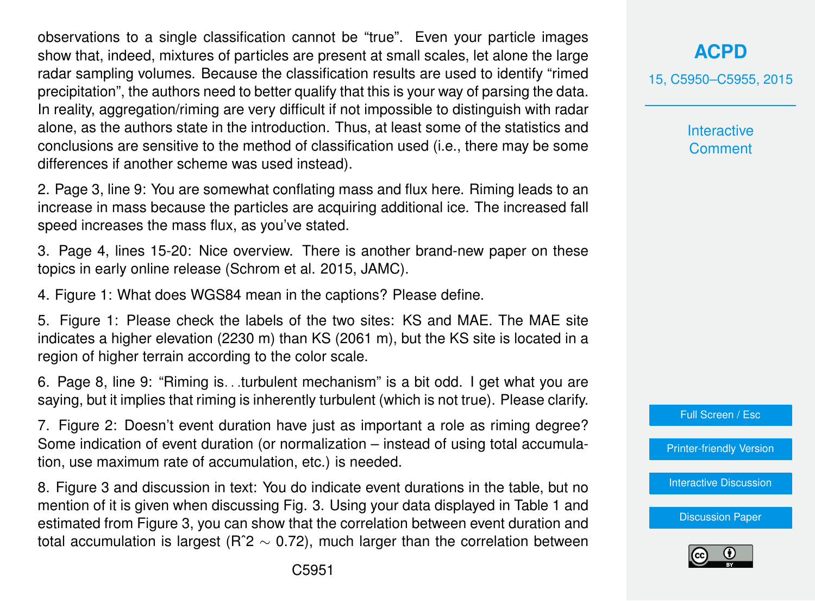observations to a single classification cannot be "true". Even your particle images show that, indeed, mixtures of particles are present at small scales, let alone the large radar sampling volumes. Because the classification results are used to identify "rimed precipitation", the authors need to better qualify that this is your way of parsing the data. In reality, aggregation/riming are very difficult if not impossible to distinguish with radar alone, as the authors state in the introduction. Thus, at least some of the statistics and conclusions are sensitive to the method of classification used (i.e., there may be some differences if another scheme was used instead).

2. Page 3, line 9: You are somewhat conflating mass and flux here. Riming leads to an increase in mass because the particles are acquiring additional ice. The increased fall speed increases the mass flux, as you've stated.

3. Page 4, lines 15-20: Nice overview. There is another brand-new paper on these topics in early online release (Schrom et al. 2015, JAMC).

4. Figure 1: What does WGS84 mean in the captions? Please define.

5. Figure 1: Please check the labels of the two sites: KS and MAE. The MAE site indicates a higher elevation (2230 m) than KS (2061 m), but the KS site is located in a region of higher terrain according to the color scale.

6. Page 8, line 9: "Riming is. . .turbulent mechanism" is a bit odd. I get what you are saying, but it implies that riming is inherently turbulent (which is not true). Please clarify.

7. Figure 2: Doesn't event duration have just as important a role as riming degree? Some indication of event duration (or normalization – instead of using total accumulation, use maximum rate of accumulation, etc.) is needed.

8. Figure 3 and discussion in text: You do indicate event durations in the table, but no mention of it is given when discussing Fig. 3. Using your data displayed in Table 1 and estimated from Figure 3, you can show that the correlation between event duration and total accumulation is largest (R<sup>o</sup> $2 \sim 0.72$ ), much larger than the correlation between 15, C5950–C5955, 2015

**Interactive Comment** 



[Printer-friendly Version](http://www.atmos-chem-phys-discuss.net/15/C5950/2015/acpd-15-C5950-2015-print.pdf)

[Interactive Discussion](http://www.atmos-chem-phys-discuss.net/15/18065/2015/acpd-15-18065-2015-discussion.html)

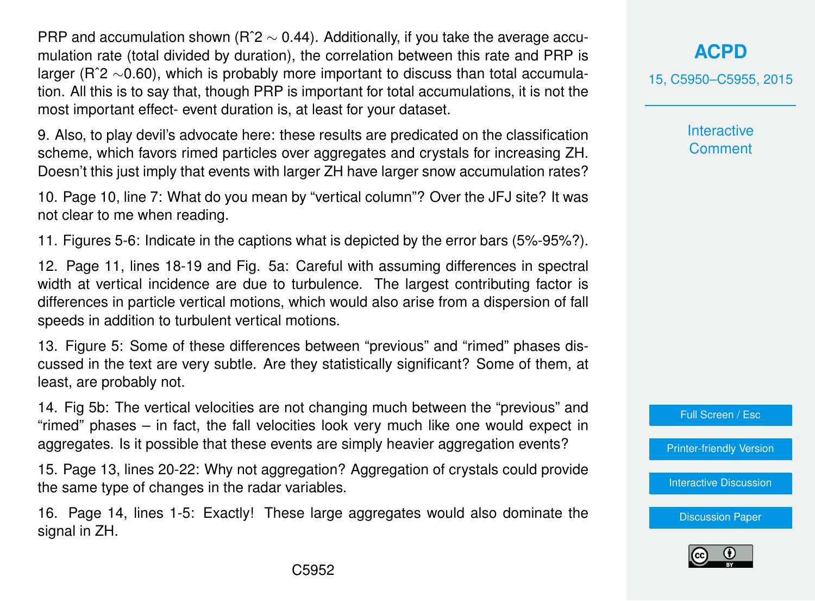PRP and accumulation shown (R<sup>o</sup>2  $\sim$  0.44). Additionally, if you take the average accumulation rate (total divided by duration), the correlation between this rate and PRP is larger (Rˆ2 ∼0.60), which is probably more important to discuss than total accumulation. All this is to say that, though PRP is important for total accumulations, it is not the most important effect- event duration is, at least for your dataset.

9. Also, to play devil's advocate here: these results are predicated on the classification scheme, which favors rimed particles over aggregates and crystals for increasing ZH. Doesn't this just imply that events with larger ZH have larger snow accumulation rates?

10. Page 10, line 7: What do you mean by "vertical column"? Over the JFJ site? It was not clear to me when reading.

11. Figures 5-6: Indicate in the captions what is depicted by the error bars (5%-95%?).

12. Page 11, lines 18-19 and Fig. 5a: Careful with assuming differences in spectral width at vertical incidence are due to turbulence. The largest contributing factor is differences in particle vertical motions, which would also arise from a dispersion of fall speeds in addition to turbulent vertical motions.

13. Figure 5: Some of these differences between "previous" and "rimed" phases discussed in the text are very subtle. Are they statistically significant? Some of them, at least, are probably not.

14. Fig 5b: The vertical velocities are not changing much between the "previous" and "rimed" phases – in fact, the fall velocities look very much like one would expect in aggregates. Is it possible that these events are simply heavier aggregation events?

15. Page 13, lines 20-22: Why not aggregation? Aggregation of crystals could provide the same type of changes in the radar variables.

16. Page 14, lines 1-5: Exactly! These large aggregates would also dominate the signal in ZH.

**[ACPD](http://www.atmos-chem-phys-discuss.net)**

15, C5950–C5955, 2015

**Interactive Comment** 

Full Screen / Esc

[Printer-friendly Version](http://www.atmos-chem-phys-discuss.net/15/C5950/2015/acpd-15-C5950-2015-print.pdf)

[Interactive Discussion](http://www.atmos-chem-phys-discuss.net/15/18065/2015/acpd-15-18065-2015-discussion.html)

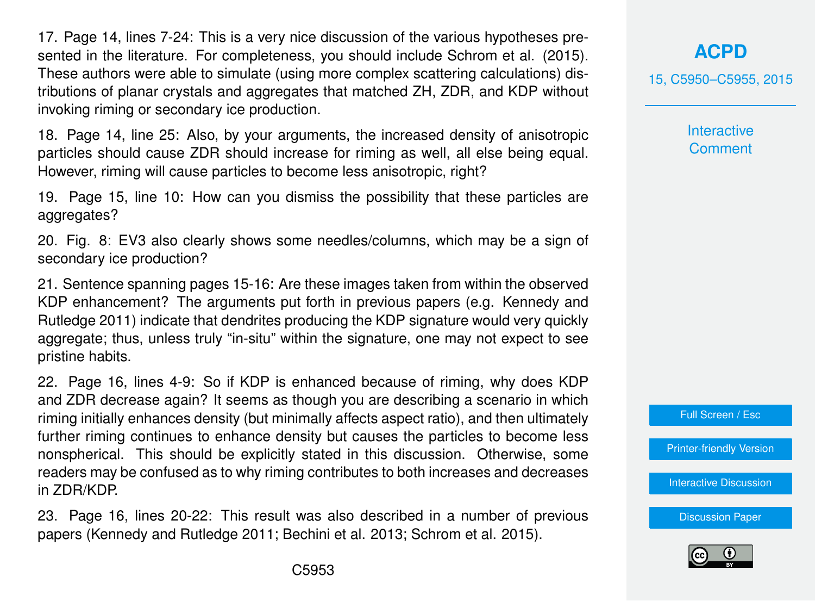17. Page 14, lines 7-24: This is a very nice discussion of the various hypotheses presented in the literature. For completeness, you should include Schrom et al. (2015). These authors were able to simulate (using more complex scattering calculations) distributions of planar crystals and aggregates that matched ZH, ZDR, and KDP without invoking riming or secondary ice production.

18. Page 14, line 25: Also, by your arguments, the increased density of anisotropic particles should cause ZDR should increase for riming as well, all else being equal. However, riming will cause particles to become less anisotropic, right?

19. Page 15, line 10: How can you dismiss the possibility that these particles are aggregates?

20. Fig. 8: EV3 also clearly shows some needles/columns, which may be a sign of secondary ice production?

21. Sentence spanning pages 15-16: Are these images taken from within the observed KDP enhancement? The arguments put forth in previous papers (e.g. Kennedy and Rutledge 2011) indicate that dendrites producing the KDP signature would very quickly aggregate; thus, unless truly "in-situ" within the signature, one may not expect to see pristine habits.

22. Page 16, lines 4-9: So if KDP is enhanced because of riming, why does KDP and ZDR decrease again? It seems as though you are describing a scenario in which riming initially enhances density (but minimally affects aspect ratio), and then ultimately further riming continues to enhance density but causes the particles to become less nonspherical. This should be explicitly stated in this discussion. Otherwise, some readers may be confused as to why riming contributes to both increases and decreases in ZDR/KDP.

23. Page 16, lines 20-22: This result was also described in a number of previous papers (Kennedy and Rutledge 2011; Bechini et al. 2013; Schrom et al. 2015).

**[ACPD](http://www.atmos-chem-phys-discuss.net)**

15, C5950–C5955, 2015

**Interactive Comment** 

Full Screen / Esc

[Printer-friendly Version](http://www.atmos-chem-phys-discuss.net/15/C5950/2015/acpd-15-C5950-2015-print.pdf)

[Interactive Discussion](http://www.atmos-chem-phys-discuss.net/15/18065/2015/acpd-15-18065-2015-discussion.html)

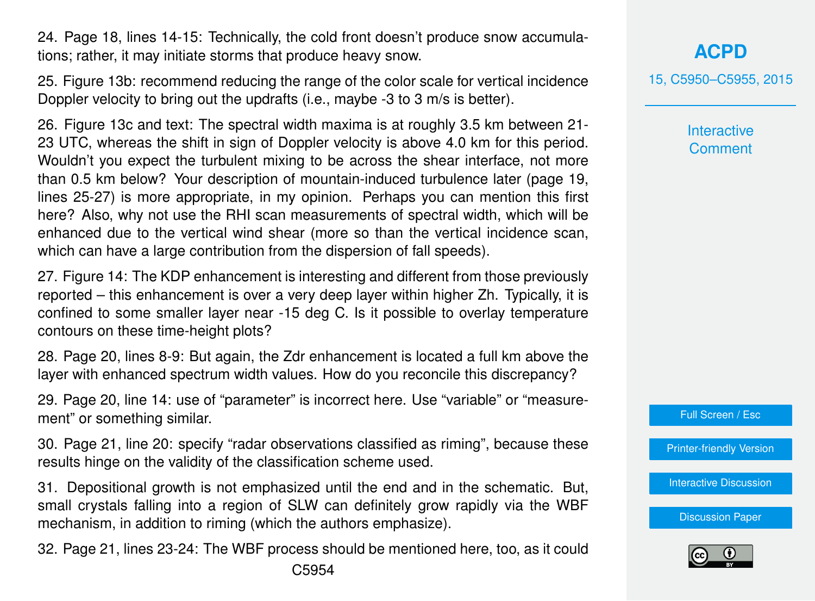24. Page 18, lines 14-15: Technically, the cold front doesn't produce snow accumulations; rather, it may initiate storms that produce heavy snow.

25. Figure 13b: recommend reducing the range of the color scale for vertical incidence Doppler velocity to bring out the updrafts (i.e., maybe -3 to 3 m/s is better).

26. Figure 13c and text: The spectral width maxima is at roughly 3.5 km between 21- 23 UTC, whereas the shift in sign of Doppler velocity is above 4.0 km for this period. Wouldn't you expect the turbulent mixing to be across the shear interface, not more than 0.5 km below? Your description of mountain-induced turbulence later (page 19, lines 25-27) is more appropriate, in my opinion. Perhaps you can mention this first here? Also, why not use the RHI scan measurements of spectral width, which will be enhanced due to the vertical wind shear (more so than the vertical incidence scan, which can have a large contribution from the dispersion of fall speeds).

27. Figure 14: The KDP enhancement is interesting and different from those previously reported – this enhancement is over a very deep layer within higher Zh. Typically, it is confined to some smaller layer near -15 deg C. Is it possible to overlay temperature contours on these time-height plots?

28. Page 20, lines 8-9: But again, the Zdr enhancement is located a full km above the layer with enhanced spectrum width values. How do you reconcile this discrepancy?

29. Page 20, line 14: use of "parameter" is incorrect here. Use "variable" or "measurement" or something similar.

30. Page 21, line 20: specify "radar observations classified as riming", because these results hinge on the validity of the classification scheme used.

31. Depositional growth is not emphasized until the end and in the schematic. But, small crystals falling into a region of SLW can definitely grow rapidly via the WBF mechanism, in addition to riming (which the authors emphasize).

32. Page 21, lines 23-24: The WBF process should be mentioned here, too, as it could C5954

**[ACPD](http://www.atmos-chem-phys-discuss.net)**

15, C5950–C5955, 2015

**Interactive Comment** 

Full Screen / Esc

[Printer-friendly Version](http://www.atmos-chem-phys-discuss.net/15/C5950/2015/acpd-15-C5950-2015-print.pdf)

[Interactive Discussion](http://www.atmos-chem-phys-discuss.net/15/18065/2015/acpd-15-18065-2015-discussion.html)